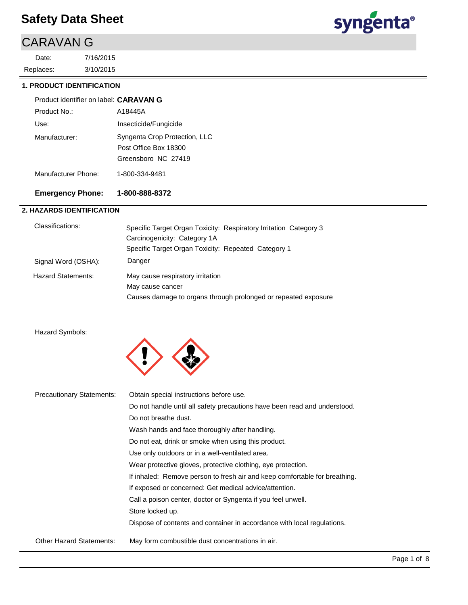# CARAVAN G

3/10/2015 7/16/2015 Replaces: Date:



#### **1. PRODUCT IDENTIFICATION**

#### A18445A Product identifier on label: **CARAVAN G** Product No.:

| Use:                | Insecticide/Fungicide                        |
|---------------------|----------------------------------------------|
| Manufacturer:       | Syngenta Crop Protection, LLC                |
|                     | Post Office Box 18300<br>Greensboro NC 27419 |
| Manufacturer Phone: | 1-800-334-9481                               |

### **Emergency Phone: 1-800-888-8372**

#### **2. HAZARDS IDENTIFICATION**

| Classifications:          | Specific Target Organ Toxicity: Respiratory Irritation Category 3 |
|---------------------------|-------------------------------------------------------------------|
|                           | Carcinogenicity: Category 1A                                      |
|                           | Specific Target Organ Toxicity: Repeated Category 1               |
| Signal Word (OSHA):       | Danger                                                            |
| <b>Hazard Statements:</b> | May cause respiratory irritation                                  |
|                           | May cause cancer                                                  |
|                           | Causes damage to organs through prolonged or repeated exposure    |
|                           |                                                                   |

#### Hazard Symbols:



| <b>Precautionary Statements:</b> | Obtain special instructions before use.                                    |
|----------------------------------|----------------------------------------------------------------------------|
|                                  | Do not handle until all safety precautions have been read and understood.  |
|                                  | Do not breathe dust.                                                       |
|                                  | Wash hands and face thoroughly after handling.                             |
|                                  | Do not eat, drink or smoke when using this product.                        |
|                                  | Use only outdoors or in a well-ventilated area.                            |
|                                  | Wear protective gloves, protective clothing, eye protection.               |
|                                  | If inhaled: Remove person to fresh air and keep comfortable for breathing. |
|                                  | If exposed or concerned: Get medical advice/attention.                     |
|                                  | Call a poison center, doctor or Syngenta if you feel unwell.               |
|                                  | Store locked up.                                                           |
|                                  | Dispose of contents and container in accordance with local regulations.    |
| <b>Other Hazard Statements:</b>  | May form combustible dust concentrations in air.                           |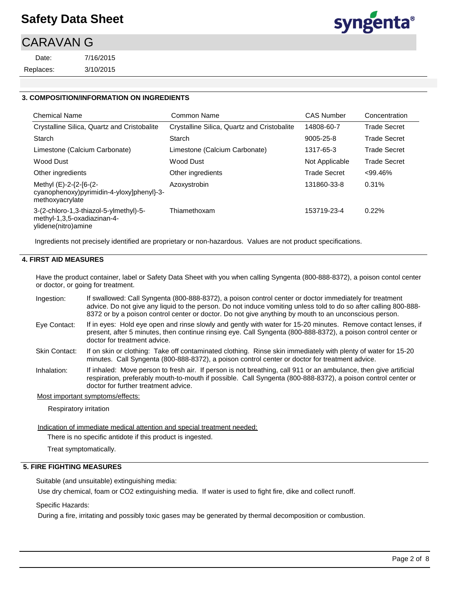## CARAVAN G

Replaces: Date:



#### **3. COMPOSITION/INFORMATION ON INGREDIENTS**

| <b>Chemical Name</b>                                                                         | Common Name                                 | <b>CAS Number</b>   | Concentration       |
|----------------------------------------------------------------------------------------------|---------------------------------------------|---------------------|---------------------|
| Crystalline Silica, Quartz and Cristobalite                                                  | Crystalline Silica, Quartz and Cristobalite | 14808-60-7          | <b>Trade Secret</b> |
| Starch                                                                                       | Starch                                      | 9005-25-8           | <b>Trade Secret</b> |
| Limestone (Calcium Carbonate)                                                                | Limestone (Calcium Carbonate)               | 1317-65-3           | <b>Trade Secret</b> |
| Wood Dust                                                                                    | Wood Dust                                   | Not Applicable      | <b>Trade Secret</b> |
| Other ingredients                                                                            | Other ingredients                           | <b>Trade Secret</b> | $< 99.46\%$         |
| Methyl (E)-2-{2-[6-(2-<br>cyanophenoxy)pyrimidin-4-yloxy]phenyl}-3-<br>methoxyacrylate       | Azoxystrobin                                | 131860-33-8         | 0.31%               |
| 3-(2-chloro-1,3-thiazol-5-ylmethyl)-5-<br>methyl-1,3,5-oxadiazinan-4-<br>ylidene(nitro)amine | Thiamethoxam                                | 153719-23-4         | 0.22%               |

Ingredients not precisely identified are proprietary or non-hazardous. Values are not product specifications.

#### **4. FIRST AID MEASURES**

Have the product container, label or Safety Data Sheet with you when calling Syngenta (800-888-8372), a poison contol center or doctor, or going for treatment.

- If swallowed: Call Syngenta (800-888-8372), a poison control center or doctor immediately for treatment advice. Do not give any liquid to the person. Do not induce vomiting unless told to do so after calling 800-888- 8372 or by a poison control center or doctor. Do not give anything by mouth to an unconscious person. Ingestion:
- If in eyes: Hold eye open and rinse slowly and gently with water for 15-20 minutes. Remove contact lenses, if present, after 5 minutes, then continue rinsing eye. Call Syngenta (800-888-8372), a poison control center or doctor for treatment advice. Eye Contact:
- If on skin or clothing: Take off contaminated clothing. Rinse skin immediately with plenty of water for 15-20 minutes. Call Syngenta (800-888-8372), a poison control center or doctor for treatment advice. Skin Contact:
- If inhaled: Move person to fresh air. If person is not breathing, call 911 or an ambulance, then give artificial respiration, preferably mouth-to-mouth if possible. Call Syngenta (800-888-8372), a poison control center or doctor for further treatment advice. Inhalation:

#### Most important symptoms/effects:

Respiratory irritation

Indication of immediate medical attention and special treatment needed:

There is no specific antidote if this product is ingested.

Treat symptomatically.

#### **5. FIRE FIGHTING MEASURES**

Suitable (and unsuitable) extinguishing media:

Use dry chemical, foam or CO2 extinguishing media. If water is used to fight fire, dike and collect runoff.

Specific Hazards:

During a fire, irritating and possibly toxic gases may be generated by thermal decomposition or combustion.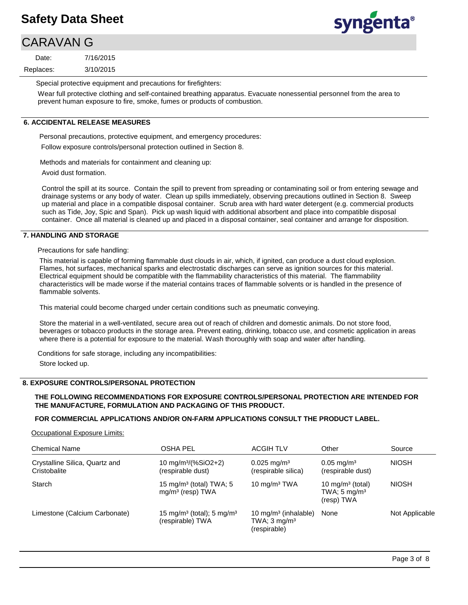# CARAVAN G

3/10/2015 7/16/2015 Replaces: Date:

syngenta®

Special protective equipment and precautions for firefighters:

Wear full protective clothing and self-contained breathing apparatus. Evacuate nonessential personnel from the area to prevent human exposure to fire, smoke, fumes or products of combustion.

#### **6. ACCIDENTAL RELEASE MEASURES**

Personal precautions, protective equipment, and emergency procedures: Follow exposure controls/personal protection outlined in Section 8.

Methods and materials for containment and cleaning up:

Avoid dust formation.

Control the spill at its source. Contain the spill to prevent from spreading or contaminating soil or from entering sewage and drainage systems or any body of water. Clean up spills immediately, observing precautions outlined in Section 8. Sweep up material and place in a compatible disposal container. Scrub area with hard water detergent (e.g. commercial products such as Tide, Joy, Spic and Span). Pick up wash liquid with additional absorbent and place into compatible disposal container. Once all material is cleaned up and placed in a disposal container, seal container and arrange for disposition.

#### **7. HANDLING AND STORAGE**

Precautions for safe handling:

This material is capable of forming flammable dust clouds in air, which, if ignited, can produce a dust cloud explosion. Flames, hot surfaces, mechanical sparks and electrostatic discharges can serve as ignition sources for this material. Electrical equipment should be compatible with the flammability characteristics of this material. The flammability characteristics will be made worse if the material contains traces of flammable solvents or is handled in the presence of flammable solvents.

This material could become charged under certain conditions such as pneumatic conveying.

Store the material in a well-ventilated, secure area out of reach of children and domestic animals. Do not store food, beverages or tobacco products in the storage area. Prevent eating, drinking, tobacco use, and cosmetic application in areas where there is a potential for exposure to the material. Wash thoroughly with soap and water after handling.

Conditions for safe storage, including any incompatibilities: Store locked up.

#### **8. EXPOSURE CONTROLS/PERSONAL PROTECTION**

#### **THE FOLLOWING RECOMMENDATIONS FOR EXPOSURE CONTROLS/PERSONAL PROTECTION ARE INTENDED FOR THE MANUFACTURE, FORMULATION AND PACKAGING OF THIS PRODUCT.**

#### **FOR COMMERCIAL APPLICATIONS AND/OR ON-FARM APPLICATIONS CONSULT THE PRODUCT LABEL.**

Occupational Exposure Limits:

| <b>Chemical Name</b>                           | OSHA PEL                                                              | <b>ACGIH TLV</b>                                                            | Other                                                                 | Source         |
|------------------------------------------------|-----------------------------------------------------------------------|-----------------------------------------------------------------------------|-----------------------------------------------------------------------|----------------|
| Crystalline Silica, Quartz and<br>Cristobalite | 10 mg/m <sup>3</sup> /(%SiO2+2)<br>(respirable dust)                  | $0.025$ mg/m <sup>3</sup><br>(respirable silica)                            | $0.05 \,\mathrm{mg/m^3}$<br>(respirable dust)                         | <b>NIOSH</b>   |
| Starch                                         | 15 mg/m <sup>3</sup> (total) TWA; 5<br>$mg/m3$ (resp) TWA             | 10 $mq/m3 TWA$                                                              | 10 mg/m <sup>3</sup> (total)<br>TWA; $5 \text{ mg/m}^3$<br>(resp) TWA | <b>NIOSH</b>   |
| Limestone (Calcium Carbonate)                  | 15 mg/m <sup>3</sup> (total); 5 mg/m <sup>3</sup><br>(respirable) TWA | 10 mg/m <sup>3</sup> (inhalable)<br>TWA; $3 \text{ mg/m}^3$<br>(respirable) | None                                                                  | Not Applicable |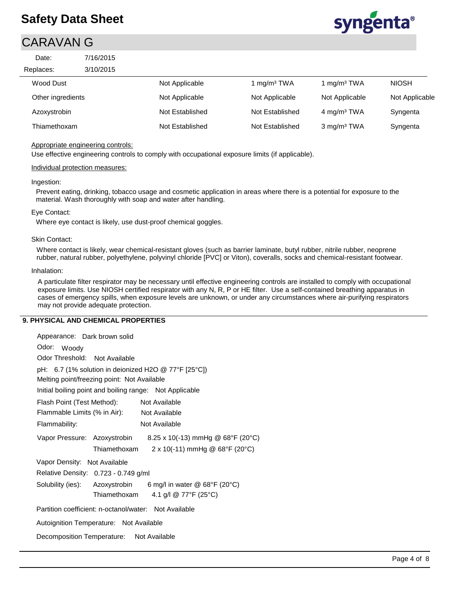## CARAVAN G



| Date:             | 7/16/2015 |                 |                         |                         |                |
|-------------------|-----------|-----------------|-------------------------|-------------------------|----------------|
| Replaces:         | 3/10/2015 |                 |                         |                         |                |
| Wood Dust         |           | Not Applicable  | 1 mg/m <sup>3</sup> TWA | 1 mg/m <sup>3</sup> TWA | <b>NIOSH</b>   |
| Other ingredients |           | Not Applicable  | Not Applicable          | Not Applicable          | Not Applicable |
| Azoxystrobin      |           | Not Established | Not Established         | 4 mg/m <sup>3</sup> TWA | Syngenta       |
| Thiamethoxam      |           | Not Established | Not Established         | 3 mg/m <sup>3</sup> TWA | Syngenta       |

#### Appropriate engineering controls:

Use effective engineering controls to comply with occupational exposure limits (if applicable).

#### Individual protection measures:

#### Ingestion:

Prevent eating, drinking, tobacco usage and cosmetic application in areas where there is a potential for exposure to the material. Wash thoroughly with soap and water after handling.

#### Eye Contact:

Where eye contact is likely, use dust-proof chemical goggles.

#### Skin Contact:

Where contact is likely, wear chemical-resistant gloves (such as barrier laminate, butyl rubber, nitrile rubber, neoprene rubber, natural rubber, polyethylene, polyvinyl chloride [PVC] or Viton), coveralls, socks and chemical-resistant footwear.

#### Inhalation:

A particulate filter respirator may be necessary until effective engineering controls are installed to comply with occupational exposure limits. Use NIOSH certified respirator with any N, R, P or HE filter. Use a self-contained breathing apparatus in cases of emergency spills, when exposure levels are unknown, or under any circumstances where air-purifying respirators may not provide adequate protection.

#### **9. PHYSICAL AND CHEMICAL PROPERTIES**

| Appearance: Dark brown solid                          |              |                                                                |  |  |  |
|-------------------------------------------------------|--------------|----------------------------------------------------------------|--|--|--|
| Odor: Woody                                           |              |                                                                |  |  |  |
| Odor Threshold: Not Available                         |              |                                                                |  |  |  |
| pH: 6.7 (1% solution in deionized H2O @ 77°F [25°C])  |              |                                                                |  |  |  |
| Melting point/freezing point: Not Available           |              |                                                                |  |  |  |
|                                                       |              | Initial boiling point and boiling range: Not Applicable        |  |  |  |
| Flash Point (Test Method):                            |              | Not Available                                                  |  |  |  |
| Flammable Limits (% in Air): Not Available            |              |                                                                |  |  |  |
| Flammability:                                         |              | Not Available                                                  |  |  |  |
|                                                       |              | Vapor Pressure: Azoxystrobin 8.25 x 10(-13) mmHg @ 68°F (20°C) |  |  |  |
|                                                       | Thiamethoxam | $2 \times 10(-11)$ mmHg @ 68°F (20°C)                          |  |  |  |
| Vapor Density: Not Available                          |              |                                                                |  |  |  |
| Relative Density: 0.723 - 0.749 g/ml                  |              |                                                                |  |  |  |
|                                                       |              | Solubility (ies): Azoxystrobin 6 mg/l in water @ 68°F (20°C)   |  |  |  |
|                                                       | Thiamethoxam | 4.1 g/l @ 77°F (25°C)                                          |  |  |  |
| Partition coefficient: n-octanol/water: Not Available |              |                                                                |  |  |  |
| Autoignition Temperature: Not Available               |              |                                                                |  |  |  |
| Decomposition Temperature: Not Available              |              |                                                                |  |  |  |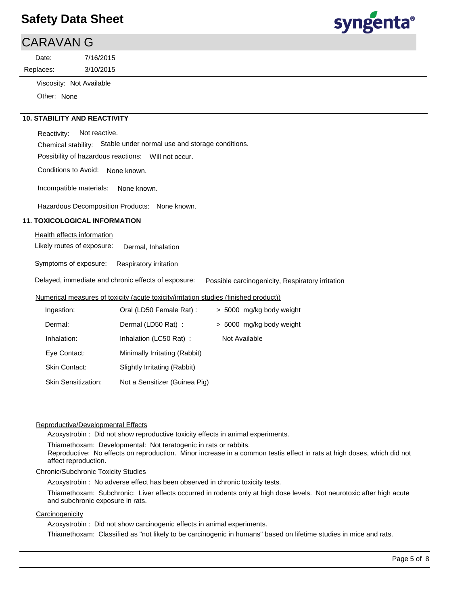# syngenta®

| CARAVAN G |                          |  |  |  |
|-----------|--------------------------|--|--|--|
| Date:     | 7/16/2015                |  |  |  |
| Replaces: | 3/10/2015                |  |  |  |
|           | Viscosity: Not Available |  |  |  |

Other: None

#### **10. STABILITY AND REACTIVITY**

Reactivity: Not reactive.

Chemical stability: Stable under normal use and storage conditions.

Possibility of hazardous reactions: Will not occur.

Conditions to Avoid: None known.

Incompatible materials: None known.

Hazardous Decomposition Products: None known.

#### **11. TOXICOLOGICAL INFORMATION**

#### Health effects information

Likely routes of exposure: Dermal, Inhalation

Symptoms of exposure: Respiratory irritation

Delayed, immediate and chronic effects of exposure: Possible carcinogenicity, Respiratory irritation

#### Numerical measures of toxicity (acute toxicity/irritation studies (finished product))

| Ingestion:                 | Oral (LD50 Female Rat):       | > 5000 mg/kg body weight |
|----------------------------|-------------------------------|--------------------------|
| Dermal:                    | Dermal (LD50 Rat) :           | > 5000 mg/kg body weight |
| Inhalation:                | Inhalation (LC50 Rat):        | Not Available            |
| Eye Contact:               | Minimally Irritating (Rabbit) |                          |
| <b>Skin Contact:</b>       | Slightly Irritating (Rabbit)  |                          |
| <b>Skin Sensitization:</b> | Not a Sensitizer (Guinea Pig) |                          |

#### Reproductive/Developmental Effects

Azoxystrobin : Did not show reproductive toxicity effects in animal experiments.

Thiamethoxam: Developmental: Not teratogenic in rats or rabbits.

Reproductive: No effects on reproduction. Minor increase in a common testis effect in rats at high doses, which did not affect reproduction.

#### Chronic/Subchronic Toxicity Studies

Azoxystrobin : No adverse effect has been observed in chronic toxicity tests.

Thiamethoxam: Subchronic: Liver effects occurred in rodents only at high dose levels. Not neurotoxic after high acute and subchronic exposure in rats.

#### **Carcinogenicity**

Azoxystrobin : Did not show carcinogenic effects in animal experiments.

Thiamethoxam: Classified as "not likely to be carcinogenic in humans" based on lifetime studies in mice and rats.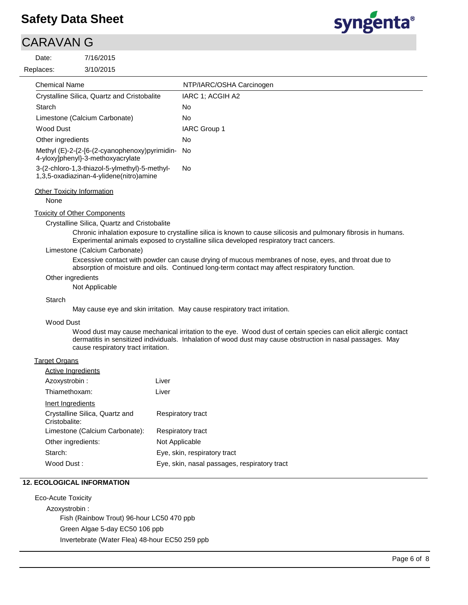# CARAVAN G

Replaces: Date:

```
3/10/2015
7/16/2015
```


| <b>Chemical Name</b>                                                                     | NTP/IARC/OSHA Carcinogen |
|------------------------------------------------------------------------------------------|--------------------------|
| Crystalline Silica, Quartz and Cristobalite                                              | IARC 1: ACGIH A2         |
| Starch                                                                                   | No                       |
| Limestone (Calcium Carbonate)                                                            | No                       |
| Wood Dust                                                                                | <b>IARC Group 1</b>      |
| Other ingredients                                                                        | No.                      |
| Methyl (E)-2-{2-[6-(2-cyanophenoxy)pyrimidin-<br>4-yloxy]phenyl}-3-methoxyacrylate       | No.                      |
| 3-(2-chloro-1,3-thiazol-5-ylmethyl)-5-methyl-<br>1,3,5-oxadiazinan-4-ylidene(nitro)amine | No.                      |
|                                                                                          |                          |

#### **Other Toxicity Information**

None

Toxicity of Other Components

Crystalline Silica, Quartz and Cristobalite

Chronic inhalation exposure to crystalline silica is known to cause silicosis and pulmonary fibrosis in humans. Experimental animals exposed to crystalline silica developed respiratory tract cancers.

#### Limestone (Calcium Carbonate)

Excessive contact with powder can cause drying of mucous membranes of nose, eyes, and throat due to absorption of moisture and oils. Continued long-term contact may affect respiratory function.

#### Other ingredients

Not Applicable

#### **Starch**

May cause eye and skin irritation. May cause respiratory tract irritation.

#### Wood Dust

Wood dust may cause mechanical irritation to the eye. Wood dust of certain species can elicit allergic contact dermatitis in sensitized individuals. Inhalation of wood dust may cause obstruction in nasal passages. May cause respiratory tract irritation.

#### Target Organs

| Active Ingredients                              |                                              |
|-------------------------------------------------|----------------------------------------------|
| Azoxystrobin :                                  | Liver                                        |
| Thiamethoxam:                                   | Liver                                        |
| Inert Ingredients                               |                                              |
| Crystalline Silica, Quartz and<br>Cristobalite: | Respiratory tract                            |
| Limestone (Calcium Carbonate):                  | Respiratory tract                            |
| Other ingredients:                              | Not Applicable                               |
| Starch:                                         | Eye, skin, respiratory tract                 |
| Wood Dust:                                      | Eye, skin, nasal passages, respiratory tract |

#### **12. ECOLOGICAL INFORMATION**

Eco-Acute Toxicity Azoxystrobin : Fish (Rainbow Trout) 96-hour LC50 470 ppb Green Algae 5-day EC50 106 ppb Invertebrate (Water Flea) 48-hour EC50 259 ppb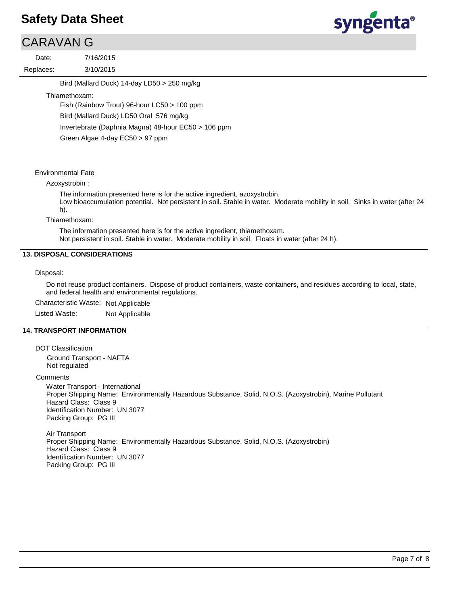## CARAVAN G

3/10/2015 7/16/2015 Replaces: Date:

syngenta®

Bird (Mallard Duck) 14-day LD50 > 250 mg/kg

#### Thiamethoxam:

Fish (Rainbow Trout) 96-hour LC50 > 100 ppm Bird (Mallard Duck) LD50 Oral 576 mg/kg Invertebrate (Daphnia Magna) 48-hour EC50 > 106 ppm Green Algae 4-day EC50 > 97 ppm

#### Environmental Fate

#### Azoxystrobin :

The information presented here is for the active ingredient, azoxystrobin.

Low bioaccumulation potential. Not persistent in soil. Stable in water. Moderate mobility in soil. Sinks in water (after 24 h).

#### Thiamethoxam:

The information presented here is for the active ingredient, thiamethoxam. Not persistent in soil. Stable in water. Moderate mobility in soil. Floats in water (after 24 h).

#### **13. DISPOSAL CONSIDERATIONS**

#### Disposal:

Do not reuse product containers. Dispose of product containers, waste containers, and residues according to local, state, and federal health and environmental regulations.

Characteristic Waste: Not Applicable

Listed Waste: Not Applicable

#### **14. TRANSPORT INFORMATION**

DOT Classification

Ground Transport - NAFTA Not regulated

#### **Comments**

Water Transport - International Proper Shipping Name: Environmentally Hazardous Substance, Solid, N.O.S. (Azoxystrobin), Marine Pollutant Hazard Class: Class 9 Identification Number: UN 3077 Packing Group: PG III

Air Transport Proper Shipping Name: Environmentally Hazardous Substance, Solid, N.O.S. (Azoxystrobin) Hazard Class: Class 9 Identification Number: UN 3077 Packing Group: PG III